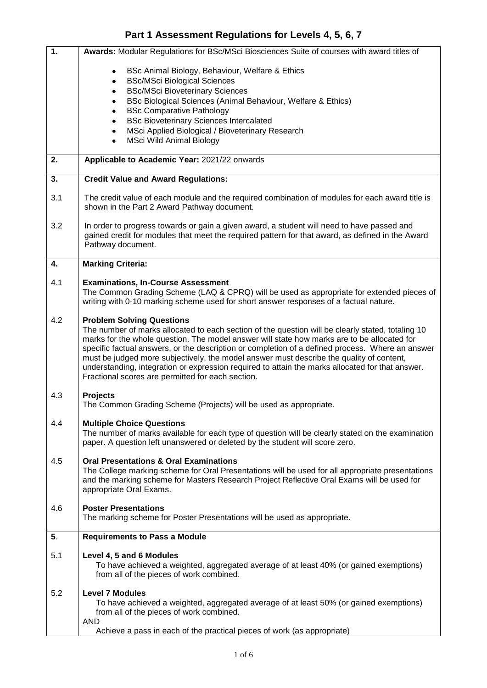## **Part 1 Assessment Regulations for Levels 4, 5, 6, 7**

| $\overline{1}$ . | Awards: Modular Regulations for BSc/MSci Biosciences Suite of courses with award titles of                                                                                                                                                                                                                                                                                                                                                                                                                                                                                                    |  |
|------------------|-----------------------------------------------------------------------------------------------------------------------------------------------------------------------------------------------------------------------------------------------------------------------------------------------------------------------------------------------------------------------------------------------------------------------------------------------------------------------------------------------------------------------------------------------------------------------------------------------|--|
|                  | BSc Animal Biology, Behaviour, Welfare & Ethics                                                                                                                                                                                                                                                                                                                                                                                                                                                                                                                                               |  |
|                  | <b>BSc/MSci Biological Sciences</b><br><b>BSc/MSci Bioveterinary Sciences</b>                                                                                                                                                                                                                                                                                                                                                                                                                                                                                                                 |  |
|                  | BSc Biological Sciences (Animal Behaviour, Welfare & Ethics)                                                                                                                                                                                                                                                                                                                                                                                                                                                                                                                                  |  |
|                  | <b>BSc Comparative Pathology</b>                                                                                                                                                                                                                                                                                                                                                                                                                                                                                                                                                              |  |
|                  | <b>BSc Bioveterinary Sciences Intercalated</b>                                                                                                                                                                                                                                                                                                                                                                                                                                                                                                                                                |  |
|                  | MSci Applied Biological / Bioveterinary Research                                                                                                                                                                                                                                                                                                                                                                                                                                                                                                                                              |  |
|                  | <b>MSci Wild Animal Biology</b>                                                                                                                                                                                                                                                                                                                                                                                                                                                                                                                                                               |  |
| 2.               | Applicable to Academic Year: 2021/22 onwards                                                                                                                                                                                                                                                                                                                                                                                                                                                                                                                                                  |  |
| 3.               | <b>Credit Value and Award Regulations:</b>                                                                                                                                                                                                                                                                                                                                                                                                                                                                                                                                                    |  |
| 3.1              | The credit value of each module and the required combination of modules for each award title is<br>shown in the Part 2 Award Pathway document.                                                                                                                                                                                                                                                                                                                                                                                                                                                |  |
| 3.2              | In order to progress towards or gain a given award, a student will need to have passed and<br>gained credit for modules that meet the required pattern for that award, as defined in the Award<br>Pathway document.                                                                                                                                                                                                                                                                                                                                                                           |  |
| 4.               | <b>Marking Criteria:</b>                                                                                                                                                                                                                                                                                                                                                                                                                                                                                                                                                                      |  |
| 4.1              | <b>Examinations, In-Course Assessment</b><br>The Common Grading Scheme (LAQ & CPRQ) will be used as appropriate for extended pieces of<br>writing with 0-10 marking scheme used for short answer responses of a factual nature.                                                                                                                                                                                                                                                                                                                                                               |  |
|                  |                                                                                                                                                                                                                                                                                                                                                                                                                                                                                                                                                                                               |  |
| 4.2              | <b>Problem Solving Questions</b><br>The number of marks allocated to each section of the question will be clearly stated, totaling 10<br>marks for the whole question. The model answer will state how marks are to be allocated for<br>specific factual answers, or the description or completion of a defined process. Where an answer<br>must be judged more subjectively, the model answer must describe the quality of content,<br>understanding, integration or expression required to attain the marks allocated for that answer.<br>Fractional scores are permitted for each section. |  |
| 4.3              | <b>Projects</b><br>The Common Grading Scheme (Projects) will be used as appropriate.                                                                                                                                                                                                                                                                                                                                                                                                                                                                                                          |  |
| 4.4              | <b>Multiple Choice Questions</b><br>The number of marks available for each type of question will be clearly stated on the examination<br>paper. A question left unanswered or deleted by the student will score zero.                                                                                                                                                                                                                                                                                                                                                                         |  |
| 4.5              | <b>Oral Presentations &amp; Oral Examinations</b><br>The College marking scheme for Oral Presentations will be used for all appropriate presentations<br>and the marking scheme for Masters Research Project Reflective Oral Exams will be used for<br>appropriate Oral Exams.                                                                                                                                                                                                                                                                                                                |  |
| 4.6              | <b>Poster Presentations</b><br>The marking scheme for Poster Presentations will be used as appropriate.                                                                                                                                                                                                                                                                                                                                                                                                                                                                                       |  |
| 5.               | <b>Requirements to Pass a Module</b>                                                                                                                                                                                                                                                                                                                                                                                                                                                                                                                                                          |  |
| 5.1              | Level 4, 5 and 6 Modules<br>To have achieved a weighted, aggregated average of at least 40% (or gained exemptions)<br>from all of the pieces of work combined.                                                                                                                                                                                                                                                                                                                                                                                                                                |  |
| 5.2              | <b>Level 7 Modules</b><br>To have achieved a weighted, aggregated average of at least 50% (or gained exemptions)<br>from all of the pieces of work combined.<br><b>AND</b>                                                                                                                                                                                                                                                                                                                                                                                                                    |  |
|                  | Achieve a pass in each of the practical pieces of work (as appropriate)                                                                                                                                                                                                                                                                                                                                                                                                                                                                                                                       |  |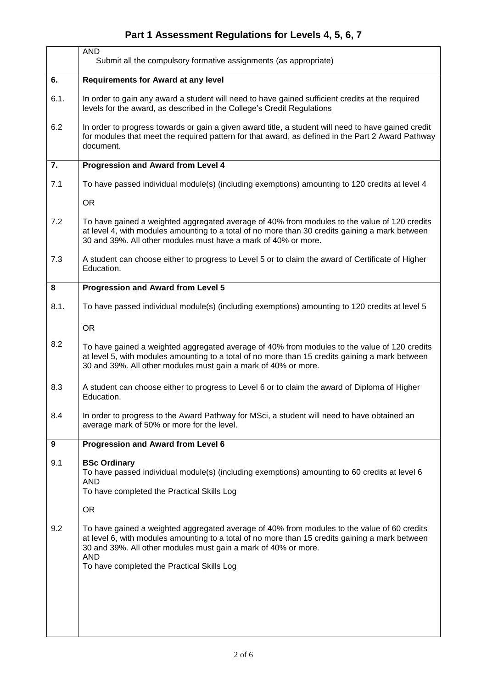## **Part 1 Assessment Regulations for Levels 4, 5, 6, 7**

|      | <b>AND</b><br>Submit all the compulsory formative assignments (as appropriate)                                                                                                                                                                                                                                               |  |  |
|------|------------------------------------------------------------------------------------------------------------------------------------------------------------------------------------------------------------------------------------------------------------------------------------------------------------------------------|--|--|
| 6.   | <b>Requirements for Award at any level</b>                                                                                                                                                                                                                                                                                   |  |  |
| 6.1. | In order to gain any award a student will need to have gained sufficient credits at the required<br>levels for the award, as described in the College's Credit Regulations                                                                                                                                                   |  |  |
| 6.2  | In order to progress towards or gain a given award title, a student will need to have gained credit<br>for modules that meet the required pattern for that award, as defined in the Part 2 Award Pathway<br>document.                                                                                                        |  |  |
| 7.   | <b>Progression and Award from Level 4</b>                                                                                                                                                                                                                                                                                    |  |  |
| 7.1  | To have passed individual module(s) (including exemptions) amounting to 120 credits at level 4                                                                                                                                                                                                                               |  |  |
|      | <b>OR</b>                                                                                                                                                                                                                                                                                                                    |  |  |
| 7.2  | To have gained a weighted aggregated average of 40% from modules to the value of 120 credits<br>at level 4, with modules amounting to a total of no more than 30 credits gaining a mark between<br>30 and 39%. All other modules must have a mark of 40% or more.                                                            |  |  |
| 7.3  | A student can choose either to progress to Level 5 or to claim the award of Certificate of Higher<br>Education.                                                                                                                                                                                                              |  |  |
| 8    | <b>Progression and Award from Level 5</b>                                                                                                                                                                                                                                                                                    |  |  |
| 8.1. | To have passed individual module(s) (including exemptions) amounting to 120 credits at level 5                                                                                                                                                                                                                               |  |  |
|      | <b>OR</b>                                                                                                                                                                                                                                                                                                                    |  |  |
| 8.2  | To have gained a weighted aggregated average of 40% from modules to the value of 120 credits<br>at level 5, with modules amounting to a total of no more than 15 credits gaining a mark between<br>30 and 39%. All other modules must gain a mark of 40% or more.                                                            |  |  |
| 8.3  | A student can choose either to progress to Level 6 or to claim the award of Diploma of Higher<br>Education.                                                                                                                                                                                                                  |  |  |
| 8.4  | In order to progress to the Award Pathway for MSci, a student will need to have obtained an<br>average mark of 50% or more for the level.                                                                                                                                                                                    |  |  |
| 9    | <b>Progression and Award from Level 6</b>                                                                                                                                                                                                                                                                                    |  |  |
| 9.1  | <b>BSc Ordinary</b><br>To have passed individual module(s) (including exemptions) amounting to 60 credits at level 6<br><b>AND</b><br>To have completed the Practical Skills Log                                                                                                                                             |  |  |
|      | <b>OR</b>                                                                                                                                                                                                                                                                                                                    |  |  |
| 9.2  | To have gained a weighted aggregated average of 40% from modules to the value of 60 credits<br>at level 6, with modules amounting to a total of no more than 15 credits gaining a mark between<br>30 and 39%. All other modules must gain a mark of 40% or more.<br><b>AND</b><br>To have completed the Practical Skills Log |  |  |
|      |                                                                                                                                                                                                                                                                                                                              |  |  |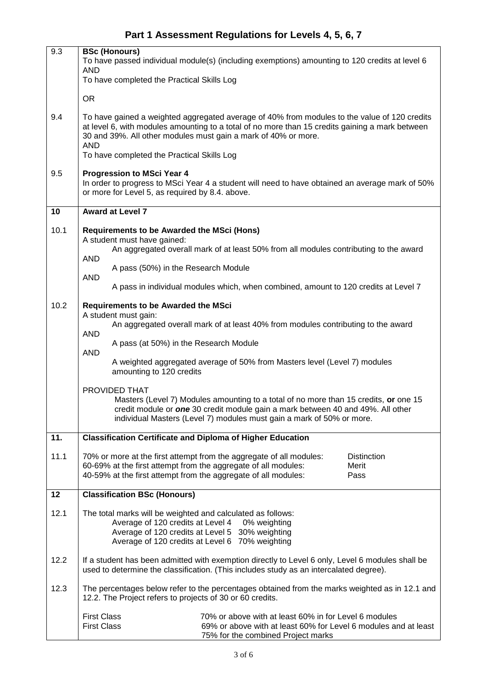| 9.3  | <b>BSc (Honours)</b><br>To have passed individual module(s) (including exemptions) amounting to 120 credits at level 6<br><b>AND</b>                                                                                                                                            |  |  |  |
|------|---------------------------------------------------------------------------------------------------------------------------------------------------------------------------------------------------------------------------------------------------------------------------------|--|--|--|
|      | To have completed the Practical Skills Log                                                                                                                                                                                                                                      |  |  |  |
|      | <b>OR</b>                                                                                                                                                                                                                                                                       |  |  |  |
| 9.4  | To have gained a weighted aggregated average of 40% from modules to the value of 120 credits<br>at level 6, with modules amounting to a total of no more than 15 credits gaining a mark between<br>30 and 39%. All other modules must gain a mark of 40% or more.<br><b>AND</b> |  |  |  |
|      | To have completed the Practical Skills Log                                                                                                                                                                                                                                      |  |  |  |
| 9.5  | <b>Progression to MSci Year 4</b><br>In order to progress to MSci Year 4 a student will need to have obtained an average mark of 50%<br>or more for Level 5, as required by 8.4. above.                                                                                         |  |  |  |
| 10   | <b>Award at Level 7</b>                                                                                                                                                                                                                                                         |  |  |  |
| 10.1 | <b>Requirements to be Awarded the MSci (Hons)</b><br>A student must have gained:                                                                                                                                                                                                |  |  |  |
|      | An aggregated overall mark of at least 50% from all modules contributing to the award<br><b>AND</b>                                                                                                                                                                             |  |  |  |
|      | A pass (50%) in the Research Module<br><b>AND</b>                                                                                                                                                                                                                               |  |  |  |
|      | A pass in individual modules which, when combined, amount to 120 credits at Level 7                                                                                                                                                                                             |  |  |  |
| 10.2 | <b>Requirements to be Awarded the MSci</b><br>A student must gain:                                                                                                                                                                                                              |  |  |  |
|      | An aggregated overall mark of at least 40% from modules contributing to the award<br><b>AND</b>                                                                                                                                                                                 |  |  |  |
|      | A pass (at 50%) in the Research Module<br><b>AND</b>                                                                                                                                                                                                                            |  |  |  |
|      | A weighted aggregated average of 50% from Masters level (Level 7) modules<br>amounting to 120 credits                                                                                                                                                                           |  |  |  |
|      | PROVIDED THAT<br>Masters (Level 7) Modules amounting to a total of no more than 15 credits, or one 15<br>credit module or one 30 credit module gain a mark between 40 and 49%. All other<br>individual Masters (Level 7) modules must gain a mark of 50% or more.               |  |  |  |
| 11.  | <b>Classification Certificate and Diploma of Higher Education</b>                                                                                                                                                                                                               |  |  |  |
| 11.1 | 70% or more at the first attempt from the aggregate of all modules:<br><b>Distinction</b><br>60-69% at the first attempt from the aggregate of all modules:<br>Merit<br>40-59% at the first attempt from the aggregate of all modules:<br>Pass                                  |  |  |  |
| 12   | <b>Classification BSc (Honours)</b>                                                                                                                                                                                                                                             |  |  |  |
| 12.1 | The total marks will be weighted and calculated as follows:<br>Average of 120 credits at Level 4<br>0% weighting<br>Average of 120 credits at Level 5 30% weighting<br>Average of 120 credits at Level 6 70% weighting                                                          |  |  |  |
| 12.2 | If a student has been admitted with exemption directly to Level 6 only, Level 6 modules shall be<br>used to determine the classification. (This includes study as an intercalated degree).                                                                                      |  |  |  |
| 12.3 | The percentages below refer to the percentages obtained from the marks weighted as in 12.1 and<br>12.2. The Project refers to projects of 30 or 60 credits.                                                                                                                     |  |  |  |
|      | <b>First Class</b><br>70% or above with at least 60% in for Level 6 modules<br><b>First Class</b><br>69% or above with at least 60% for Level 6 modules and at least<br>75% for the combined Project marks                                                                      |  |  |  |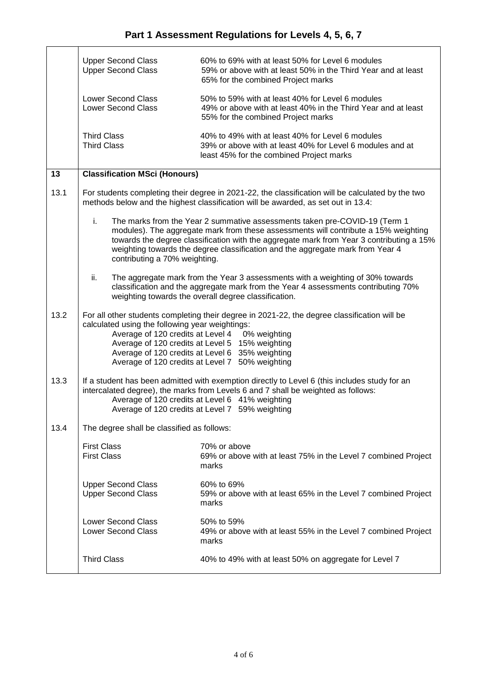|      | <b>Upper Second Class</b><br><b>Upper Second Class</b>                                                                                                                                                                                                                                   | 60% to 69% with at least 50% for Level 6 modules<br>59% or above with at least 50% in the Third Year and at least<br>65% for the combined Project marks                                                                                                                                                                                         |  |  |
|------|------------------------------------------------------------------------------------------------------------------------------------------------------------------------------------------------------------------------------------------------------------------------------------------|-------------------------------------------------------------------------------------------------------------------------------------------------------------------------------------------------------------------------------------------------------------------------------------------------------------------------------------------------|--|--|
|      | <b>Lower Second Class</b><br><b>Lower Second Class</b>                                                                                                                                                                                                                                   | 50% to 59% with at least 40% for Level 6 modules<br>49% or above with at least 40% in the Third Year and at least<br>55% for the combined Project marks                                                                                                                                                                                         |  |  |
|      | <b>Third Class</b><br><b>Third Class</b>                                                                                                                                                                                                                                                 | 40% to 49% with at least 40% for Level 6 modules<br>39% or above with at least 40% for Level 6 modules and at<br>least 45% for the combined Project marks                                                                                                                                                                                       |  |  |
| 13   | <b>Classification MSci (Honours)</b>                                                                                                                                                                                                                                                     |                                                                                                                                                                                                                                                                                                                                                 |  |  |
| 13.1 | For students completing their degree in 2021-22, the classification will be calculated by the two<br>methods below and the highest classification will be awarded, as set out in 13.4:                                                                                                   |                                                                                                                                                                                                                                                                                                                                                 |  |  |
|      | i.<br>contributing a 70% weighting.                                                                                                                                                                                                                                                      | The marks from the Year 2 summative assessments taken pre-COVID-19 (Term 1<br>modules). The aggregate mark from these assessments will contribute a 15% weighting<br>towards the degree classification with the aggregate mark from Year 3 contributing a 15%<br>weighting towards the degree classification and the aggregate mark from Year 4 |  |  |
|      | ii.                                                                                                                                                                                                                                                                                      | The aggregate mark from the Year 3 assessments with a weighting of 30% towards<br>classification and the aggregate mark from the Year 4 assessments contributing 70%<br>weighting towards the overall degree classification.                                                                                                                    |  |  |
| 13.2 | calculated using the following year weightings:<br>Average of 120 credits at Level 4<br>Average of 120 credits at Level 6<br>Average of 120 credits at Level 7                                                                                                                           | For all other students completing their degree in 2021-22, the degree classification will be<br>0% weighting<br>Average of 120 credits at Level 5 15% weighting<br>35% weighting<br>50% weighting                                                                                                                                               |  |  |
| 13.3 | If a student has been admitted with exemption directly to Level 6 (this includes study for an<br>intercalated degree), the marks from Levels 6 and 7 shall be weighted as follows:<br>Average of 120 credits at Level 6 41% weighting<br>Average of 120 credits at Level 7 59% weighting |                                                                                                                                                                                                                                                                                                                                                 |  |  |
| 13.4 | The degree shall be classified as follows:                                                                                                                                                                                                                                               |                                                                                                                                                                                                                                                                                                                                                 |  |  |
|      | <b>First Class</b><br><b>First Class</b>                                                                                                                                                                                                                                                 | 70% or above<br>69% or above with at least 75% in the Level 7 combined Project<br>marks                                                                                                                                                                                                                                                         |  |  |
|      | <b>Upper Second Class</b><br><b>Upper Second Class</b>                                                                                                                                                                                                                                   | 60% to 69%<br>59% or above with at least 65% in the Level 7 combined Project<br>marks                                                                                                                                                                                                                                                           |  |  |
|      | <b>Lower Second Class</b><br><b>Lower Second Class</b>                                                                                                                                                                                                                                   | 50% to 59%<br>49% or above with at least 55% in the Level 7 combined Project<br>marks                                                                                                                                                                                                                                                           |  |  |
|      | <b>Third Class</b>                                                                                                                                                                                                                                                                       | 40% to 49% with at least 50% on aggregate for Level 7                                                                                                                                                                                                                                                                                           |  |  |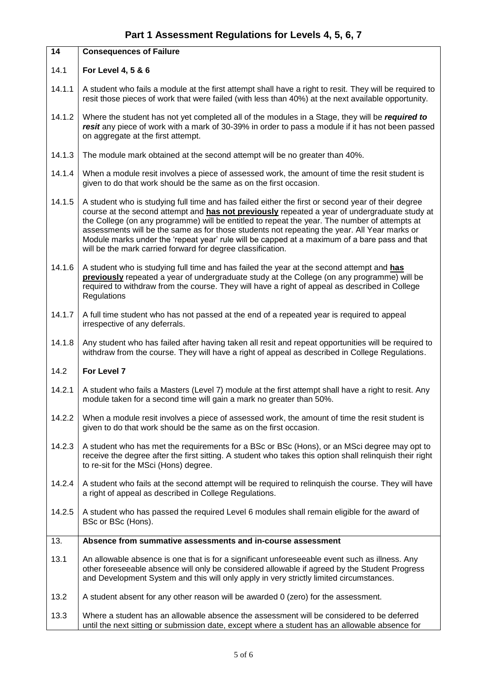| $\overline{14}$ | <b>Consequences of Failure</b>                                                                                                                                                                                                                                                                                                                                                                                                                                                                                                                                       |  |  |
|-----------------|----------------------------------------------------------------------------------------------------------------------------------------------------------------------------------------------------------------------------------------------------------------------------------------------------------------------------------------------------------------------------------------------------------------------------------------------------------------------------------------------------------------------------------------------------------------------|--|--|
| 14.1            | For Level 4, 5 & 6                                                                                                                                                                                                                                                                                                                                                                                                                                                                                                                                                   |  |  |
| 14.1.1          | A student who fails a module at the first attempt shall have a right to resit. They will be required to<br>resit those pieces of work that were failed (with less than 40%) at the next available opportunity.                                                                                                                                                                                                                                                                                                                                                       |  |  |
| 14.1.2          | Where the student has not yet completed all of the modules in a Stage, they will be required to<br>resit any piece of work with a mark of 30-39% in order to pass a module if it has not been passed<br>on aggregate at the first attempt.                                                                                                                                                                                                                                                                                                                           |  |  |
| 14.1.3          | The module mark obtained at the second attempt will be no greater than 40%.                                                                                                                                                                                                                                                                                                                                                                                                                                                                                          |  |  |
| 14.1.4          | When a module resit involves a piece of assessed work, the amount of time the resit student is<br>given to do that work should be the same as on the first occasion.                                                                                                                                                                                                                                                                                                                                                                                                 |  |  |
| 14.1.5          | A student who is studying full time and has failed either the first or second year of their degree<br>course at the second attempt and has not previously repeated a year of undergraduate study at<br>the College (on any programme) will be entitled to repeat the year. The number of attempts at<br>assessments will be the same as for those students not repeating the year. All Year marks or<br>Module marks under the 'repeat year' rule will be capped at a maximum of a bare pass and that<br>will be the mark carried forward for degree classification. |  |  |
| 14.1.6          | A student who is studying full time and has failed the year at the second attempt and has<br>previously repeated a year of undergraduate study at the College (on any programme) will be<br>required to withdraw from the course. They will have a right of appeal as described in College<br>Regulations                                                                                                                                                                                                                                                            |  |  |
| 14.1.7          | A full time student who has not passed at the end of a repeated year is required to appeal<br>irrespective of any deferrals.                                                                                                                                                                                                                                                                                                                                                                                                                                         |  |  |
| 14.1.8          | Any student who has failed after having taken all resit and repeat opportunities will be required to<br>withdraw from the course. They will have a right of appeal as described in College Regulations.                                                                                                                                                                                                                                                                                                                                                              |  |  |
| 14.2            | For Level 7                                                                                                                                                                                                                                                                                                                                                                                                                                                                                                                                                          |  |  |
| 14.2.1          | A student who fails a Masters (Level 7) module at the first attempt shall have a right to resit. Any<br>module taken for a second time will gain a mark no greater than 50%.                                                                                                                                                                                                                                                                                                                                                                                         |  |  |
| 14.2.2          | When a module resit involves a piece of assessed work, the amount of time the resit student is<br>given to do that work should be the same as on the first occasion.                                                                                                                                                                                                                                                                                                                                                                                                 |  |  |
| 14.2.3          | A student who has met the requirements for a BSc or BSc (Hons), or an MSci degree may opt to<br>receive the degree after the first sitting. A student who takes this option shall relinquish their right<br>to re-sit for the MSci (Hons) degree.                                                                                                                                                                                                                                                                                                                    |  |  |
| 14.2.4          | A student who fails at the second attempt will be required to relinquish the course. They will have<br>a right of appeal as described in College Regulations.                                                                                                                                                                                                                                                                                                                                                                                                        |  |  |
| 14.2.5          | A student who has passed the required Level 6 modules shall remain eligible for the award of<br>BSc or BSc (Hons).                                                                                                                                                                                                                                                                                                                                                                                                                                                   |  |  |
| 13.             | Absence from summative assessments and in-course assessment                                                                                                                                                                                                                                                                                                                                                                                                                                                                                                          |  |  |
| 13.1            | An allowable absence is one that is for a significant unforeseeable event such as illness. Any<br>other foreseeable absence will only be considered allowable if agreed by the Student Progress<br>and Development System and this will only apply in very strictly limited circumstances.                                                                                                                                                                                                                                                                           |  |  |
| 13.2            | A student absent for any other reason will be awarded 0 (zero) for the assessment.                                                                                                                                                                                                                                                                                                                                                                                                                                                                                   |  |  |
| 13.3            | Where a student has an allowable absence the assessment will be considered to be deferred<br>until the next sitting or submission date, except where a student has an allowable absence for                                                                                                                                                                                                                                                                                                                                                                          |  |  |